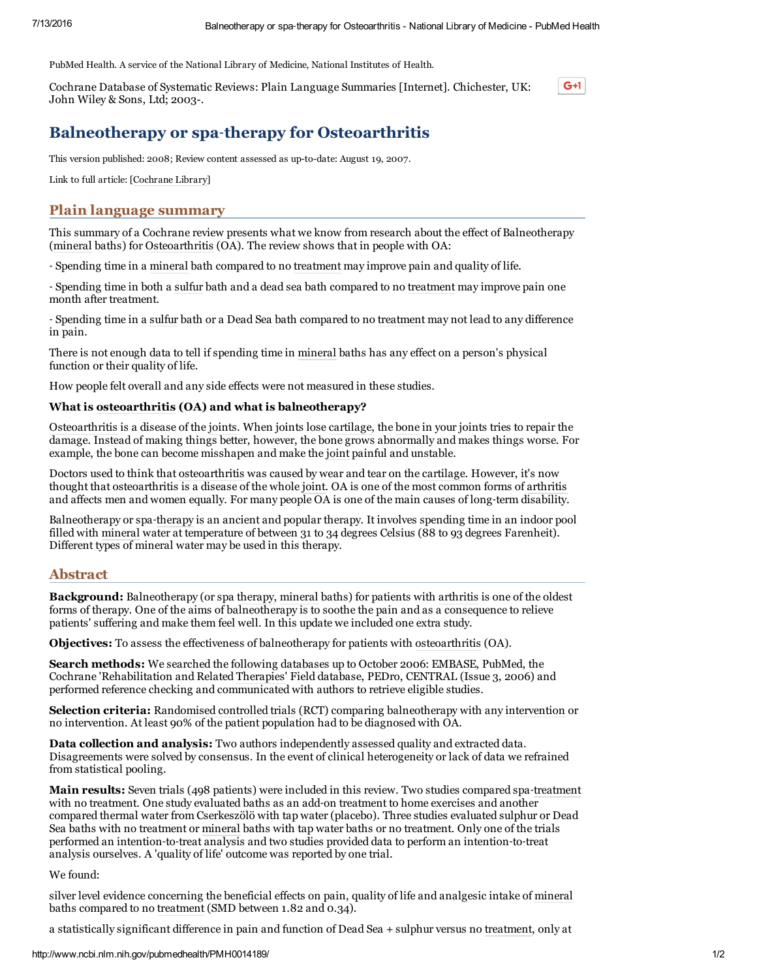PubMed Health. A service of the National Library of Medicine, National Institutes of Health.

Cochrane Database of Systematic Reviews: Plain Language Summaries [Internet]. Chichester, UK: John Wiley & Sons, Ltd; 2003.

# $G+1$

# Balneotherapy or spa‐therapy for Osteoarthritis

This version published: 2008; Review content assessed as up-to-date: August 19, 2007.

Link to full article: [[Cochrane](http://onlinelibrary.wiley.com/doi/10.1002/14651858.CD006864/full) Library]

# Plain language summary

This summary of a Cochrane review presents what we know from research about the effect of Balneotherapy ([mineral](http://www.ncbi.nlm.nih.gov/pubmedhealth/PMHT0023353) baths) for [Osteoarthritis](http://www.ncbi.nlm.nih.gov/pubmedhealth/PMHT0024679) (OA). The review shows that in people with OA:

‐ Spending time in a [mineral](http://www.ncbi.nlm.nih.gov/pubmedhealth/PMHT0023353) bath compared to no [treatment](http://www.ncbi.nlm.nih.gov/pubmedhealth/PMHT0022340) may improve pain and quality of life.

‐ Spending time in both a [sulfur](http://www.ncbi.nlm.nih.gov/pubmedhealth/PMHT0012257) bath and a dead sea bath compared to no [treatment](http://www.ncbi.nlm.nih.gov/pubmedhealth/PMHT0022340) may improve pain one month after treatment.

‐ Spending time in a [sulfur](http://www.ncbi.nlm.nih.gov/pubmedhealth/PMHT0012257) bath or a Dead Sea bath compared to no [treatment](http://www.ncbi.nlm.nih.gov/pubmedhealth/PMHT0022340) may not lead to any difference in pain.

There is not enough data to tell if spending time in [mineral](http://www.ncbi.nlm.nih.gov/pubmedhealth/PMHT0023353) baths has any effect on a person's physical function or their quality of life.

How people felt overall and any side effects were not measured in these studies.

#### What is [osteoarthritis](http://www.ncbi.nlm.nih.gov/pubmedhealth/PMHT0024679) (OA) and what is balneotherapy?

[Osteoarthritis](http://www.ncbi.nlm.nih.gov/pubmedhealth/PMHT0024679) is a disease of the [joints.](http://www.ncbi.nlm.nih.gov/pubmedhealth/PMHT0022450) When joints lose [cartilage,](http://www.ncbi.nlm.nih.gov/pubmedhealth/PMHT0022813) the [bone](http://www.ncbi.nlm.nih.gov/pubmedhealth/PMHT0022807) in your joints tries to repair the damage. Instead of making things better, however, the bone grows abnormally and makes things worse. For example, the bone can become misshapen and make the [joint](http://www.ncbi.nlm.nih.gov/pubmedhealth/PMHT0022450) painful and unstable.

Doctors used to think that [osteoarthritis](http://www.ncbi.nlm.nih.gov/pubmedhealth/PMHT0024679) was caused by wear and tear on the [cartilage.](http://www.ncbi.nlm.nih.gov/pubmedhealth/PMHT0022813) However, it's now thought that osteoarthritis is a disease of the whole [joint](http://www.ncbi.nlm.nih.gov/pubmedhealth/PMHT0022450). OA is one of the most common forms of [arthritis](http://www.ncbi.nlm.nih.gov/pubmedhealth/PMHT0024677) and affects men and women equally. For many people OA is one of the main causes of long-term disability.

Balneotherapy or spa‐[therapy](http://www.ncbi.nlm.nih.gov/pubmedhealth/PMHT0022340) is an ancient and popular therapy. It involves spending time in an indoor pool filled with [mineral](http://www.ncbi.nlm.nih.gov/pubmedhealth/PMHT0023353) water at temperature of between 31 to 34 degrees Celsius (88 to 93 degrees Farenheit). Different types of mineral water may be used in this therapy.

### Abstract

Background: Balneotherapy (or spa [therapy,](http://www.ncbi.nlm.nih.gov/pubmedhealth/PMHT0022340) [mineral](http://www.ncbi.nlm.nih.gov/pubmedhealth/PMHT0023353) baths) for patients with [arthritis](http://www.ncbi.nlm.nih.gov/pubmedhealth/PMHT0024677) is one of the oldest forms of therapy. One of the aims of balneotherapy is to soothe the pain and as a consequence to relieve patients' suffering and make them feel well. In this update we included one extra study.

Objectives: To assess the effectiveness of balneotherapy for patients with [osteoarthritis](http://www.ncbi.nlm.nih.gov/pubmedhealth/PMHT0024679) (OA).

Search methods: We searched the following databases up to October 2006: EMBASE, PubMed, the Cochrane 'Rehabilitation and Related [Therapies](http://www.ncbi.nlm.nih.gov/pubmedhealth/PMHT0022340)' Field database, PEDro, CENTRAL (Issue 3, 2006) and performed reference checking and communicated with authors to retrieve eligible studies.

Selection criteria: [Randomised](http://www.ncbi.nlm.nih.gov/pubmedhealth/PMHT0025811) controlled trials (RCT) comparing balneotherapy with any [intervention](http://www.ncbi.nlm.nih.gov/pubmedhealth/PMHT0025841) or no intervention. At least 90% of the patient population had to be diagnosed with OA.

Data collection and analysis: Two authors independently assessed quality and extracted data. Disagreements were solved by consensus. In the event of clinical heterogeneity or lack of data we refrained from statistical pooling.

Main results: Seven trials (498 patients) were included in this review. Two studies compared spa-[treatment](http://www.ncbi.nlm.nih.gov/pubmedhealth/PMHT0022340) with no treatment. One study evaluated baths as an add-on treatment to home exercises and another compared thermal water from Cserkeszölö with tap water (placebo). Three studies evaluated sulphur or Dead Sea baths with no treatment or [mineral](http://www.ncbi.nlm.nih.gov/pubmedhealth/PMHT0023353) baths with tap water baths or no treatment. Only one of the trials performed an intention‐to‐treat analysis and two studies provided data to perform an intention‐to‐treat analysis ourselves. A 'quality of life' outcome was reported by one trial.

## We found:

silver level evidence concerning the beneficial effects on pain, quality of life and analgesic intake of [mineral](http://www.ncbi.nlm.nih.gov/pubmedhealth/PMHT0023353) baths compared to no [treatment](http://www.ncbi.nlm.nih.gov/pubmedhealth/PMHT0022340) (SMD between 1.82 and 0.34).

a statistically significant difference in pain and function of Dead Sea + sulphur versus no [treatment,](http://www.ncbi.nlm.nih.gov/pubmedhealth/PMHT0022340) only at